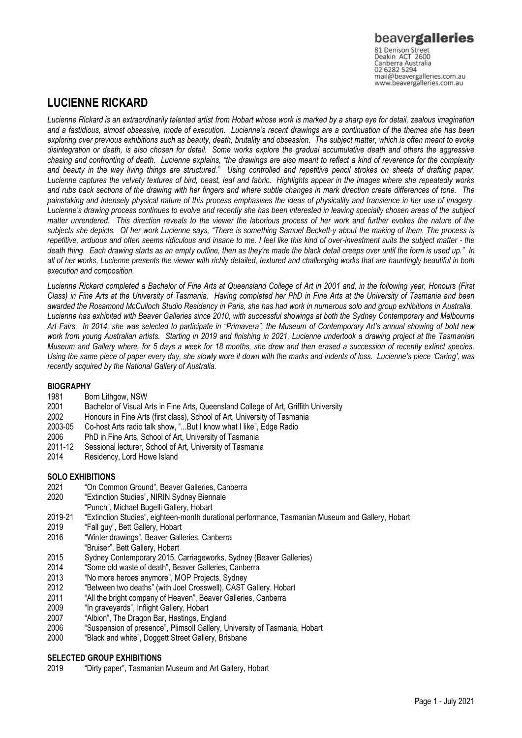# beavergalleries

81 Denison Street<br>Deakin ACT 2600 Canberra Australia mail@beavergalleries.com.au www.beavergalleries.com.au

# **LUCIENNE RICKARD**

*Lucienne Rickard is an extraordinarily talented artist from Hobart whose work is marked by a sharp eye for detail, zealous imagination and a fastidious, almost obsessive, mode of execution. Lucienne's recent drawings are a continuation of the themes she has been exploring over previous exhibitions such as beauty, death, brutality and obsession. The subject matter, which is often meant to evoke disintegration or death, is also chosen for detail. Some works explore the gradual accumulative death and others the aggressive chasing and confronting of death. Lucienne explains, "the drawings are also meant to reflect a kind of reverence for the complexity and beauty in the way living things are structured." Using controlled and repetitive pencil strokes on sheets of drafting paper, Lucienne captures the velvety textures of bird, beast, leaf and fabric. Highlights appear in the images where she repeatedly works and rubs back sections of the drawing with her fingers and where subtle changes in mark direction create differences of tone. The painstaking and intensely physical nature of this process emphasises the ideas of physicality and transience in her use of imagery. Lucienne's drawing process continues to evolve and recently she has been interested in leaving specially chosen areas of the subject matter unrendered. This direction reveals to the viewer the laborious process of her work and further evokes the nature of the subjects she depicts. Of her work Lucienne says, "There is something Samuel Beckett-y about the making of them. The process is repetitive, arduous and often seems ridiculous and insane to me. I feel like this kind of over-investment suits the subject matter - the death thing. Each drawing starts as an empty outline, then as they're made the black detail creeps over until the form is used up." In all of her works, Lucienne presents the viewer with richly detailed, textured and challenging works that are hauntingly beautiful in both execution and composition.* 

*Lucienne Rickard completed a Bachelor of Fine Arts at Queensland College of Art in 2001 and, in the following year, Honours (First Class) in Fine Arts at the University of Tasmania. Having completed her PhD in Fine Arts at the University of Tasmania and been awarded the Rosamond McCulloch Studio Residency in Paris, she has had work in numerous solo and group exhibitions in Australia. Lucienne has exhibited with Beaver Galleries since 2010, with successful showings at both the Sydney Contemporary and Melbourne Art Fairs. In 2014, she was selected to participate in "Primavera", the Museum of Contemporary Art's annual showing of bold new work from young Australian artists. Starting in 2019 and finishing in 2021, Lucienne undertook a drawing project at the Tasmanian Museum and Gallery where, for 5 days a week for 18 months, she drew and then erased a succession of recently extinct species. Using the same piece of paper every day, she slowly wore it down with the marks and indents of loss. Lucienne's piece 'Caring', was recently acquired by the National Gallery of Australia.* 

### **BIOGRAPHY**

- 1981 Born Lithgow, NSW<br>2001 Bachelor of Visual A
- 2001 Bachelor of Visual Arts in Fine Arts, Queensland College of Art, Griffith University<br>2002 Honours in Fine Arts (first class), School of Art, University of Tasmania
- 2002 Honours in Fine Arts (first class), School of Art, University of Tasmania<br>2003-05 Co-host Arts radio talk show. "...But I know what I like". Edge Radio
- 2003-05 Co-host Arts radio talk show, "...But I know what I like", Edge Radio
- 2006 PhD in Fine Arts, School of Art, University of Tasmania
- 2011-12 Sessional lecturer, School of Art, University of Tasmania
- 2014 Residency, Lord Howe Island

### **SOLO EXHIBITIONS**

- 2021 "On Common Ground", Beaver Galleries, Canberra
- 2020 "Extinction Studies", NIRIN Sydney Biennale
- "Punch", Michael Bugelli Gallery, Hobart
- 2019-21 "Extinction Studies", eighteen-month durational performance, Tasmanian Museum and Gallery, Hobart
- 2019 "Fall guy", Bett Gallery, Hobart
- 2016 "Winter drawings", Beaver Galleries, Canberra
- "Bruiser", Bett Gallery, Hobart
- 2015 Sydney Contemporary 2015, Carriageworks, Sydney (Beaver Galleries)
- 2014 "Some old waste of death", Beaver Galleries, Canberra
- 2013 "No more heroes anymore", MOP Projects, Sydney
- 2012 "Between two deaths" (with Joel Crosswell), CAST Gallery, Hobart
- 2011 "All the bright company of Heaven", Beaver Galleries, Canberra
- 2009 "In graveyards", Inflight Gallery, Hobart
- 2007 "Albion", The Dragon Bar, Hastings, England
- 2006 "Suspension of presence", Plimsoll Gallery, University of Tasmania, Hobart
- 2000 "Black and white", Doggett Street Gallery, Brisbane

# **SELECTED GROUP EXHIBITIONS**<br>2019 • "Dirty paper" Tasmaniar

"Dirty paper", Tasmanian Museum and Art Gallery, Hobart